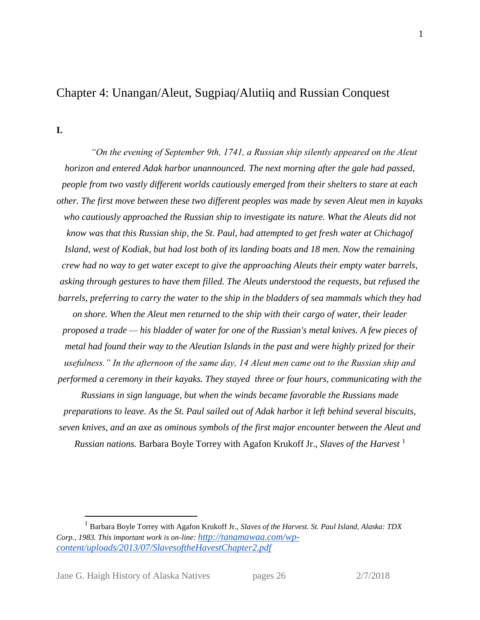# Chapter 4: Unangan/Aleut, Sugpiaq/Alutiiq and Russian Conquest

**I.** 

*"On the evening of September 9th, 1741, a Russian ship silently appeared on the Aleut horizon and entered Adak harbor unannounced. The next morning after the gale had passed, people from two vastly different worlds cautiously emerged from their shelters to stare at each other. The first move between these two different peoples was made by seven Aleut men in kayaks who cautiously approached the Russian ship to investigate its nature. What the Aleuts did not know was that this Russian ship, the St. Paul, had attempted to get fresh water at Chichagof Island, west of Kodiak, but had lost both of its landing boats and 18 men. Now the remaining crew had no way to get water except to give the approaching Aleuts their empty water barrels, asking through gestures to have them filled. The Aleuts understood the requests, but refused the barrels, preferring to carry the water to the ship in the bladders of sea mammals which they had on shore. When the Aleut men returned to the ship with their cargo of water, their leader proposed a trade — his bladder of water for one of the Russian's metal knives. A few pieces of metal had found their way to the Aleutian Islands in the past and were highly prized for their usefulness." In the afternoon of the same day, 14 Aleut men came out to the Russian ship and performed a ceremony in their kayaks. They stayed three or four hours, communicating with the Russians in sign language, but when the winds became favorable the Russians made* 

*preparations to leave. As the St. Paul sailed out of Adak harbor it left behind several biscuits, seven knives, and an axe as ominous symbols of the first major encounter between the Aleut and Russian nations.* Barbara Boyle Torrey with Agafon Krukoff Jr., *Slaves of the Harvest* <sup>1</sup>

<sup>1</sup> Barbara Boyle Torrey with Agafon Krukoff Jr., *Slaves of the Harvest. St. Paul Island, Alaska: TDX Corp., 1983. This important work is on-line: [http://tanamawaa.com/wp](http://tanamawaa.com/wp-content/uploads/2013/07/SlavesoftheHavestChapter2.pdf)[content/uploads/2013/07/SlavesoftheHavestChapter2.pdf](http://tanamawaa.com/wp-content/uploads/2013/07/SlavesoftheHavestChapter2.pdf)*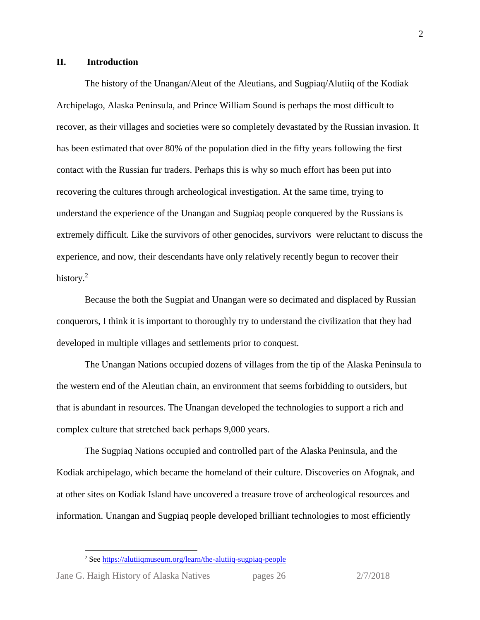#### **II. Introduction**

The history of the Unangan/Aleut of the Aleutians, and Sugpiaq/Alutiiq of the Kodiak Archipelago, Alaska Peninsula, and Prince William Sound is perhaps the most difficult to recover, as their villages and societies were so completely devastated by the Russian invasion. It has been estimated that over 80% of the population died in the fifty years following the first contact with the Russian fur traders. Perhaps this is why so much effort has been put into recovering the cultures through archeological investigation. At the same time, trying to understand the experience of the Unangan and Sugpiaq people conquered by the Russians is extremely difficult. Like the survivors of other genocides, survivors were reluctant to discuss the experience, and now, their descendants have only relatively recently begun to recover their history.<sup>2</sup>

Because the both the Sugpiat and Unangan were so decimated and displaced by Russian conquerors, I think it is important to thoroughly try to understand the civilization that they had developed in multiple villages and settlements prior to conquest.

The Unangan Nations occupied dozens of villages from the tip of the Alaska Peninsula to the western end of the Aleutian chain, an environment that seems forbidding to outsiders, but that is abundant in resources. The Unangan developed the technologies to support a rich and complex culture that stretched back perhaps 9,000 years.

The Sugpiaq Nations occupied and controlled part of the Alaska Peninsula, and the Kodiak archipelago, which became the homeland of their culture. Discoveries on Afognak, and at other sites on Kodiak Island have uncovered a treasure trove of archeological resources and information. Unangan and Sugpiaq people developed brilliant technologies to most efficiently

<sup>2</sup> Se[e https://alutiiqmuseum.org/learn/the-alutiiq-sugpiaq-people](https://alutiiqmuseum.org/learn/the-alutiiq-sugpiaq-people)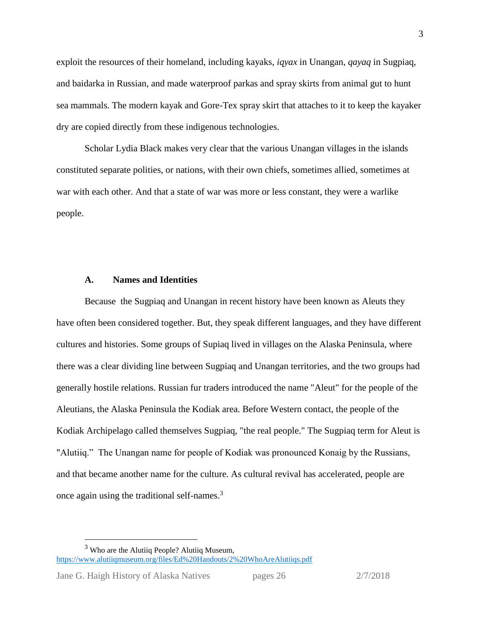exploit the resources of their homeland, including kayaks, *iqyax* in Unangan, *qayaq* in Sugpiaq, and baidarka in Russian, and made waterproof parkas and spray skirts from animal gut to hunt sea mammals. The modern kayak and Gore-Tex spray skirt that attaches to it to keep the kayaker dry are copied directly from these indigenous technologies.

Scholar Lydia Black makes very clear that the various Unangan villages in the islands constituted separate polities, or nations, with their own chiefs, sometimes allied, sometimes at war with each other. And that a state of war was more or less constant, they were a warlike people.

#### **A. Names and Identities**

Because the Sugpiaq and Unangan in recent history have been known as Aleuts they have often been considered together. But, they speak different languages, and they have different cultures and histories. Some groups of Supiaq lived in villages on the Alaska Peninsula, where there was a clear dividing line between Sugpiaq and Unangan territories, and the two groups had generally hostile relations. Russian fur traders introduced the name "Aleut" for the people of the Aleutians, the Alaska Peninsula the Kodiak area. Before Western contact, the people of the Kodiak Archipelago called themselves Sugpiaq, "the real people." The Sugpiaq term for Aleut is "Alutiiq." The Unangan name for people of Kodiak was pronounced Konaig by the Russians, and that became another name for the culture. As cultural revival has accelerated, people are once again using the traditional self-names.<sup>3</sup>

<sup>&</sup>lt;sup>3</sup> Who are the Alutiiq People? Alutiiq Museum, <https://www.alutiiqmuseum.org/files/Ed%20Handouts/2%20WhoAreAlutiiqs.pdf>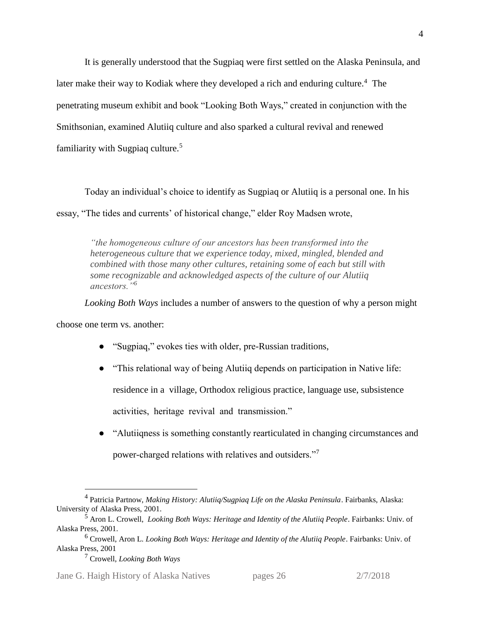It is generally understood that the Sugpiaq were first settled on the Alaska Peninsula, and later make their way to Kodiak where they developed a rich and enduring culture.<sup>4</sup> The penetrating museum exhibit and book "Looking Both Ways," created in conjunction with the Smithsonian, examined Alutiiq culture and also sparked a cultural revival and renewed familiarity with Sugpiaq culture.<sup>5</sup>

Today an individual's choice to identify as Sugpiaq or Alutiiq is a personal one. In his essay, "The tides and currents' of historical change," elder Roy Madsen wrote,

*"the homogeneous culture of our ancestors has been transformed into the heterogeneous culture that we experience today, mixed, mingled, blended and combined with those many other cultures, retaining some of each but still with some recognizable and acknowledged aspects of the culture of our Alutiiq ancestors."<sup>6</sup>*

*Looking Both Ways* includes a number of answers to the question of why a person might

choose one term vs. another:

 $\overline{a}$ 

- "Sugpiag," evokes ties with older, pre-Russian traditions,
- "This relational way of being Alutiiq depends on participation in Native life: residence in a village, Orthodox religious practice, language use, subsistence activities, heritage revival and transmission."
- "Alutiiqness is something constantly rearticulated in changing circumstances and

power-charged relations with relatives and outsiders."<sup>7</sup>

Jane G. Haigh History of Alaska Natives pages 26 2/7/2018

<sup>4</sup> Patricia Partnow, *Making History: Alutiiq/Sugpiaq Life on the Alaska Peninsula*. Fairbanks, Alaska: University of Alaska Press, 2001.

<sup>5</sup> Aron L. Crowell, *Looking Both Ways: Heritage and Identity of the Alutiiq People*. Fairbanks: Univ. of Alaska Press, 2001.

<sup>6</sup> Crowell, Aron L. *Looking Both Ways: Heritage and Identity of the Alutiiq People*. Fairbanks: Univ. of Alaska Press, 2001

<sup>7</sup> Crowell, *Looking Both Ways*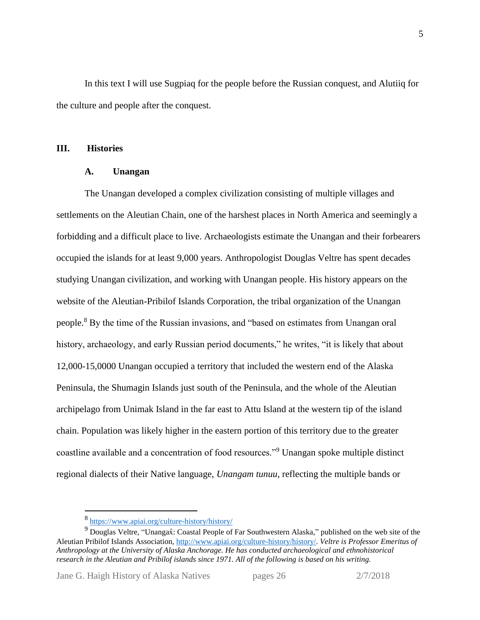In this text I will use Sugpiaq for the people before the Russian conquest, and Alutiiq for the culture and people after the conquest.

#### **III. Histories**

#### **A. Unangan**

The Unangan developed a complex civilization consisting of multiple villages and settlements on the Aleutian Chain, one of the harshest places in North America and seemingly a forbidding and a difficult place to live. Archaeologists estimate the Unangan and their forbearers occupied the islands for at least 9,000 years. Anthropologist Douglas Veltre has spent decades studying Unangan civilization, and working with Unangan people. His history appears on the website of the Aleutian-Pribilof Islands Corporation, the tribal organization of the Unangan people.<sup>8</sup> By the time of the Russian invasions, and "based on estimates from Unangan oral history, archaeology, and early Russian period documents," he writes, "it is likely that about 12,000-15,0000 Unangan occupied a territory that included the western end of the Alaska Peninsula, the Shumagin Islands just south of the Peninsula, and the whole of the Aleutian archipelago from Unimak Island in the far east to Attu Island at the western tip of the island chain. Population was likely higher in the eastern portion of this territory due to the greater coastline available and a concentration of food resources."<sup>9</sup> Unangan spoke multiple distinct regional dialects of their Native language, *Unangam tunuu*, reflecting the multiple bands or

<sup>8</sup> <https://www.apiai.org/culture-history/history/>

<sup>&</sup>lt;sup>9</sup> Douglas Veltre, "Unangaxî: Coastal People of Far Southwestern Alaska," published on the web site of the Aleutian Pribilof Islands Association, [http://www.apiai.org/culture-history/history/.](http://www.apiai.org/culture-history/history/) *Veltre is Professor Emeritus of Anthropology at the University of Alaska Anchorage. He has conducted archaeological and ethnohistorical research in the Aleutian and Pribilof islands since 1971. All of the following is based on his writing.*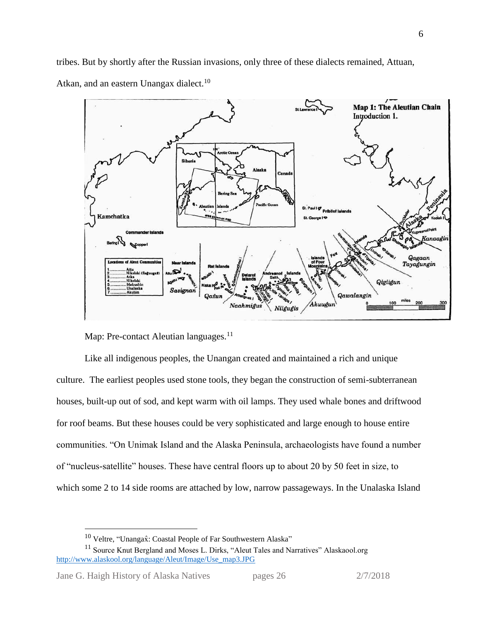tribes. But by shortly after the Russian invasions, only three of these dialects remained, Attuan, Atkan, and an eastern Unangax dialect.<sup>10</sup>



Map: Pre-contact Aleutian languages.<sup>11</sup>

Like all indigenous peoples, the Unangan created and maintained a rich and unique culture. The earliest peoples used stone tools, they began the construction of semi-subterranean houses, built-up out of sod, and kept warm with oil lamps. They used whale bones and driftwood for roof beams. But these houses could be very sophisticated and large enough to house entire communities. "On Unimak Island and the Alaska Peninsula, archaeologists have found a number of "nucleus-satellite" houses. These have central floors up to about 20 by 50 feet in size, to which some 2 to 14 side rooms are attached by low, narrow passageways. In the Unalaska Island

<sup>&</sup>lt;sup>10</sup> Veltre, "Unangax̂: Coastal People of Far Southwestern Alaska"

<sup>&</sup>lt;sup>11</sup> Source Knut Bergland and Moses L. Dirks, "Aleut Tales and Narratives" Alaskaool.org [http://www.alaskool.org/language/Aleut/Image/Use\\_map3.JPG](http://www.alaskool.org/language/Aleut/Image/Use_map3.JPG)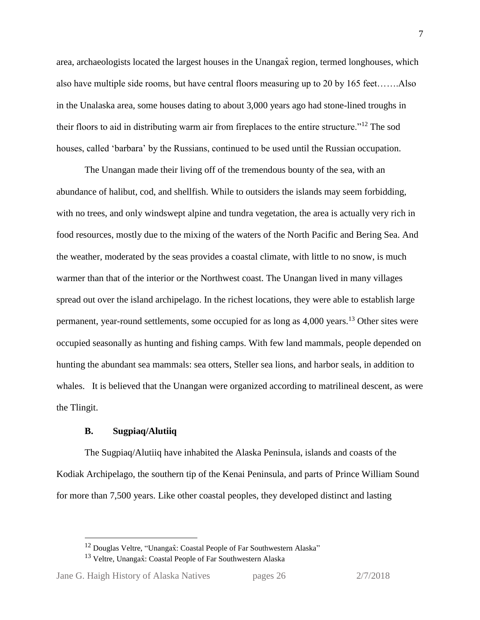area, archaeologists located the largest houses in the Unangax̂ region, termed longhouses, which also have multiple side rooms, but have central floors measuring up to 20 by 165 feet…….Also in the Unalaska area, some houses dating to about 3,000 years ago had stone-lined troughs in their floors to aid in distributing warm air from fireplaces to the entire structure."<sup>12</sup> The sod houses, called 'barbara' by the Russians, continued to be used until the Russian occupation.

The Unangan made their living off of the tremendous bounty of the sea, with an abundance of halibut, cod, and shellfish. While to outsiders the islands may seem forbidding, with no trees, and only windswept alpine and tundra vegetation, the area is actually very rich in food resources, mostly due to the mixing of the waters of the North Pacific and Bering Sea. And the weather, moderated by the seas provides a coastal climate, with little to no snow, is much warmer than that of the interior or the Northwest coast. The Unangan lived in many villages spread out over the island archipelago. In the richest locations, they were able to establish large permanent, year-round settlements, some occupied for as long as 4,000 years.<sup>13</sup> Other sites were occupied seasonally as hunting and fishing camps. With few land mammals, people depended on hunting the abundant sea mammals: sea otters, Steller sea lions, and harbor seals, in addition to whales. It is believed that the Unangan were organized according to matrilineal descent, as were the Tlingit.

#### **B. Sugpiaq/Alutiiq**

The Sugpiaq/Alutiiq have inhabited the Alaska Peninsula, islands and coasts of the Kodiak Archipelago, the southern tip of the Kenai Peninsula, and parts of Prince William Sound for more than 7,500 years. Like other coastal peoples, they developed distinct and lasting

<sup>&</sup>lt;sup>12</sup> Douglas Veltre, "Unangaxî: Coastal People of Far Southwestern Alaska"

<sup>&</sup>lt;sup>13</sup> Veltre, Unangax̂: Coastal People of Far Southwestern Alaska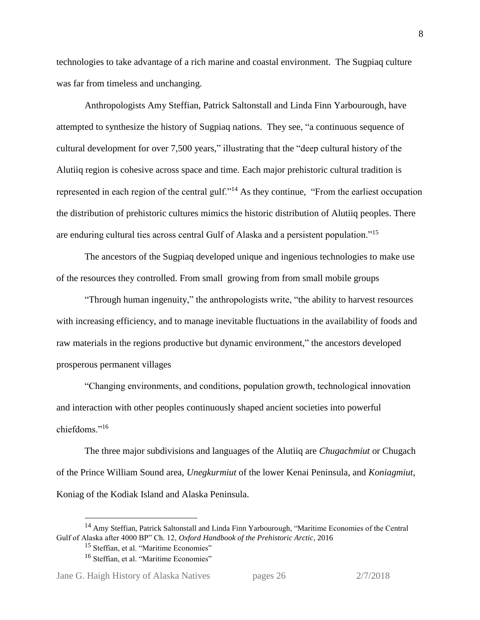technologies to take advantage of a rich marine and coastal environment. The Sugpiaq culture was far from timeless and unchanging.

Anthropologists Amy Steffian, Patrick Saltonstall and Linda Finn Yarbourough, have attempted to synthesize the history of Sugpiaq nations. They see, "a continuous sequence of cultural development for over 7,500 years," illustrating that the "deep cultural history of the Alutiiq region is cohesive across space and time. Each major prehistoric cultural tradition is represented in each region of the central gulf."<sup>14</sup> As they continue, "From the earliest occupation the distribution of prehistoric cultures mimics the historic distribution of Alutiiq peoples. There are enduring cultural ties across central Gulf of Alaska and a persistent population."<sup>15</sup>

The ancestors of the Sugpiaq developed unique and ingenious technologies to make use of the resources they controlled. From small growing from from small mobile groups

"Through human ingenuity," the anthropologists write, "the ability to harvest resources with increasing efficiency, and to manage inevitable fluctuations in the availability of foods and raw materials in the regions productive but dynamic environment," the ancestors developed prosperous permanent villages

"Changing environments, and conditions, population growth, technological innovation and interaction with other peoples continuously shaped ancient societies into powerful chiefdoms."<sup>16</sup>

The three major subdivisions and languages of the Alutiiq are *Chugachmiut* or Chugach of the Prince William Sound area, *Unegkurmiut* of the lower Kenai Peninsula, and *Koniagmiut*, Koniag of the Kodiak Island and Alaska Peninsula.

<sup>&</sup>lt;sup>14</sup> Amy Steffian, Patrick Saltonstall and Linda Finn Yarbourough, "Maritime Economies of the Central Gulf of Alaska after 4000 BP" Ch. 12, *Oxford Handbook of the Prehistoric Arctic*, 2016

<sup>&</sup>lt;sup>15</sup> Steffian, et al. "Maritime Economies"

<sup>&</sup>lt;sup>16</sup> Steffian, et al. "Maritime Economies"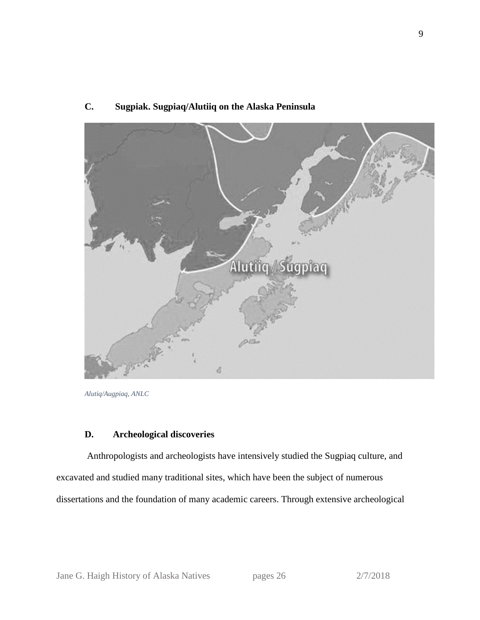# Alutiic Sugpiag 4

# **C. Sugpiak. Sugpiaq/Alutiiq on the Alaska Peninsula**

## **D. Archeological discoveries**

Anthropologists and archeologists have intensively studied the Sugpiaq culture, and excavated and studied many traditional sites, which have been the subject of numerous dissertations and the foundation of many academic careers. Through extensive archeological

*Alutiq/Augpiaq, ANLC*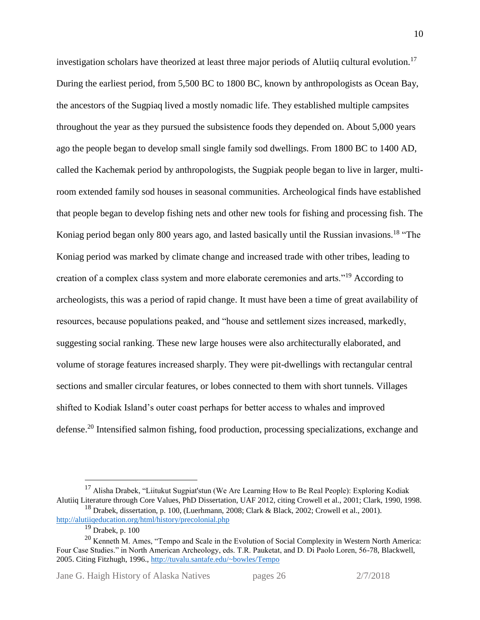investigation scholars have theorized at least three major periods of Alutiiq cultural evolution.<sup>17</sup> During the earliest period, from 5,500 BC to 1800 BC, known by anthropologists as Ocean Bay, the ancestors of the Sugpiaq lived a mostly nomadic life. They established multiple campsites throughout the year as they pursued the subsistence foods they depended on. About 5,000 years ago the people began to develop small single family sod dwellings. From 1800 BC to 1400 AD, called the Kachemak period by anthropologists, the Sugpiak people began to live in larger, multiroom extended family sod houses in seasonal communities. Archeological finds have established that people began to develop fishing nets and other new tools for fishing and processing fish. The Koniag period began only 800 years ago, and lasted basically until the Russian invasions.<sup>18</sup> "The Koniag period was marked by climate change and increased trade with other tribes, leading to creation of a complex class system and more elaborate ceremonies and arts."<sup>19</sup> According to archeologists, this was a period of rapid change. It must have been a time of great availability of resources, because populations peaked, and "house and settlement sizes increased, markedly, suggesting social ranking. These new large houses were also architecturally elaborated, and volume of storage features increased sharply. They were pit-dwellings with rectangular central sections and smaller circular features, or lobes connected to them with short tunnels. Villages shifted to Kodiak Island's outer coast perhaps for better access to whales and improved defense.<sup>20</sup> Intensified salmon fishing, food production, processing specializations, exchange and

 $\overline{a}$ 

Jane G. Haigh History of Alaska Natives pages 26 2/7/2018

<sup>&</sup>lt;sup>17</sup> Alisha Drabek, "Liitukut Sugpiat'stun (We Are Learning How to Be Real People): Exploring Kodiak Alutiiq Literature through Core Values, PhD Dissertation, UAF 2012, citing Crowell et al., 2001; Clark, 1990, 1998.

<sup>&</sup>lt;sup>18</sup> Drabek, dissertation, p. 100, (Luerhmann, 2008; Clark & Black, 2002; Crowell et al., 2001). <http://alutiiqeducation.org/html/history/precolonial.php>

 $19$  Drabek, p. 100

<sup>&</sup>lt;sup>20</sup> Kenneth M. Ames, "Tempo and Scale in the Evolution of Social Complexity in Western North America: Four Case Studies." in North American Archeology, eds. T.R. Pauketat, and D. Di Paolo Loren, 56-78, Blackwell, 2005. Citing Fitzhugh, 1996.[, http://tuvalu.santafe.edu/~bowles/Tempo](http://tuvalu.santafe.edu/~bowles/Tempo)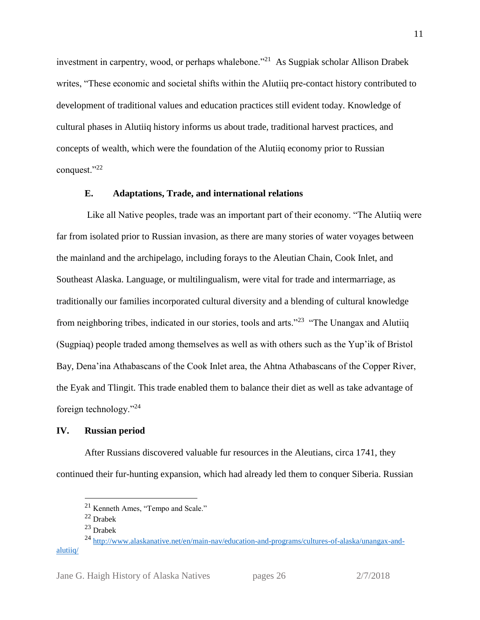investment in carpentry, wood, or perhaps whalebone."<sup>21</sup> As Sugpiak scholar Allison Drabek writes, "These economic and societal shifts within the Alutiiq pre-contact history contributed to development of traditional values and education practices still evident today. Knowledge of cultural phases in Alutiiq history informs us about trade, traditional harvest practices, and concepts of wealth, which were the foundation of the Alutiiq economy prior to Russian conquest."22

#### **E. Adaptations, Trade, and international relations**

Like all Native peoples, trade was an important part of their economy. "The Alutiiq were far from isolated prior to Russian invasion, as there are many stories of water voyages between the mainland and the archipelago, including forays to the Aleutian Chain, Cook Inlet, and Southeast Alaska. Language, or multilingualism, were vital for trade and intermarriage, as traditionally our families incorporated cultural diversity and a blending of cultural knowledge from neighboring tribes, indicated in our stories, tools and arts."<sup>23</sup> "The Unangax and Alutiiq (Sugpiaq) people traded among themselves as well as with others such as the Yup'ik of Bristol Bay, Dena'ina Athabascans of the Cook Inlet area, the Ahtna Athabascans of the Copper River, the Eyak and Tlingit. This trade enabled them to balance their diet as well as take advantage of foreign technology."<sup>24</sup>

#### **IV. Russian period**

After Russians discovered valuable fur resources in the Aleutians, circa 1741, they continued their fur-hunting expansion, which had already led them to conquer Siberia. Russian

<sup>21</sup> Kenneth Ames, "Tempo and Scale."

<sup>22</sup> Drabek

<sup>23</sup> Drabek

<sup>&</sup>lt;sup>24</sup> [http://www.alaskanative.net/en/main-nav/education-and-programs/cultures-of-alaska/unangax-and](http://www.alaskanative.net/en/main-nav/education-and-programs/cultures-of-alaska/unangax-and-alutiiq/)[alutiiq/](http://www.alaskanative.net/en/main-nav/education-and-programs/cultures-of-alaska/unangax-and-alutiiq/)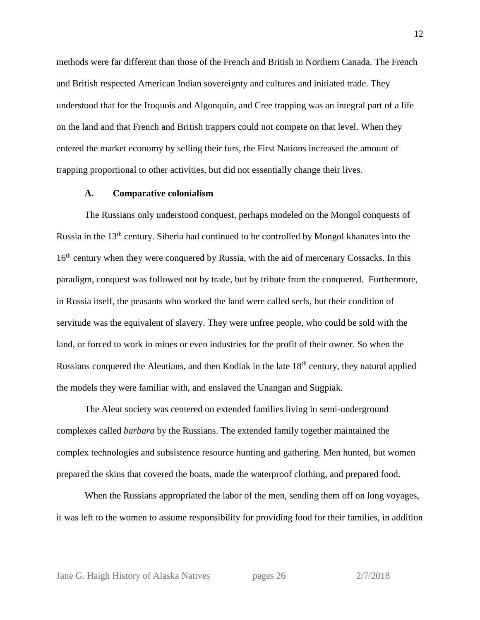methods were far different than those of the French and British in Northern Canada. The French and British respected American Indian sovereignty and cultures and initiated trade. They understood that for the Iroquois and Algonquin, and Cree trapping was an integral part of a life on the land and that French and British trappers could not compete on that level. When they entered the market economy by selling their furs, the First Nations increased the amount of trapping proportional to other activities, but did not essentially change their lives.

#### **A. Comparative colonialism**

The Russians only understood conquest, perhaps modeled on the Mongol conquests of Russia in the 13<sup>th</sup> century. Siberia had continued to be controlled by Mongol khanates into the 16<sup>th</sup> century when they were conquered by Russia, with the aid of mercenary Cossacks. In this paradigm, conquest was followed not by trade, but by tribute from the conquered. Furthermore, in Russia itself, the peasants who worked the land were called serfs, but their condition of servitude was the equivalent of slavery. They were unfree people, who could be sold with the land, or forced to work in mines or even industries for the profit of their owner. So when the Russians conquered the Aleutians, and then Kodiak in the late 18<sup>th</sup> century, they natural applied the models they were familiar with, and enslaved the Unangan and Sugpiak.

The Aleut society was centered on extended families living in semi-underground complexes called *barbara* by the Russians. The extended family together maintained the complex technologies and subsistence resource hunting and gathering. Men hunted, but women prepared the skins that covered the boats, made the waterproof clothing, and prepared food.

When the Russians appropriated the labor of the men, sending them off on long voyages, it was left to the women to assume responsibility for providing food for their families, in addition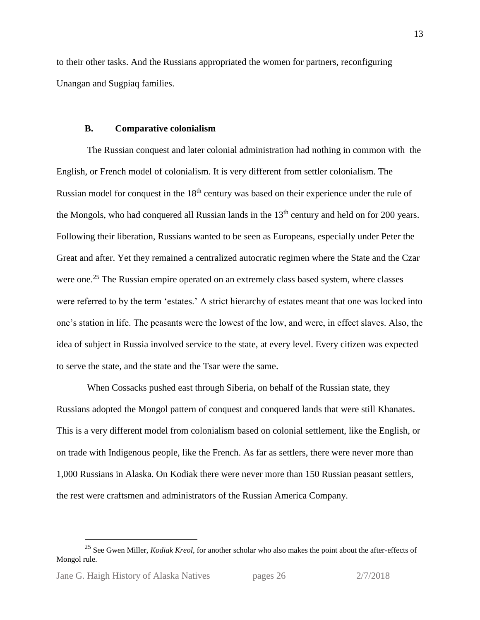to their other tasks. And the Russians appropriated the women for partners, reconfiguring Unangan and Sugpiaq families.

#### **B. Comparative colonialism**

The Russian conquest and later colonial administration had nothing in common with the English, or French model of colonialism. It is very different from settler colonialism. The Russian model for conquest in the 18<sup>th</sup> century was based on their experience under the rule of the Mongols, who had conquered all Russian lands in the  $13<sup>th</sup>$  century and held on for 200 years. Following their liberation, Russians wanted to be seen as Europeans, especially under Peter the Great and after. Yet they remained a centralized autocratic regimen where the State and the Czar were one.<sup>25</sup> The Russian empire operated on an extremely class based system, where classes were referred to by the term 'estates.' A strict hierarchy of estates meant that one was locked into one's station in life. The peasants were the lowest of the low, and were, in effect slaves. Also, the idea of subject in Russia involved service to the state, at every level. Every citizen was expected to serve the state, and the state and the Tsar were the same.

When Cossacks pushed east through Siberia, on behalf of the Russian state, they Russians adopted the Mongol pattern of conquest and conquered lands that were still Khanates. This is a very different model from colonialism based on colonial settlement, like the English, or on trade with Indigenous people, like the French. As far as settlers, there were never more than 1,000 Russians in Alaska. On Kodiak there were never more than 150 Russian peasant settlers, the rest were craftsmen and administrators of the Russian America Company.

<sup>25</sup> See Gwen Miller, *Kodiak Kreol*, for another scholar who also makes the point about the after-effects of Mongol rule.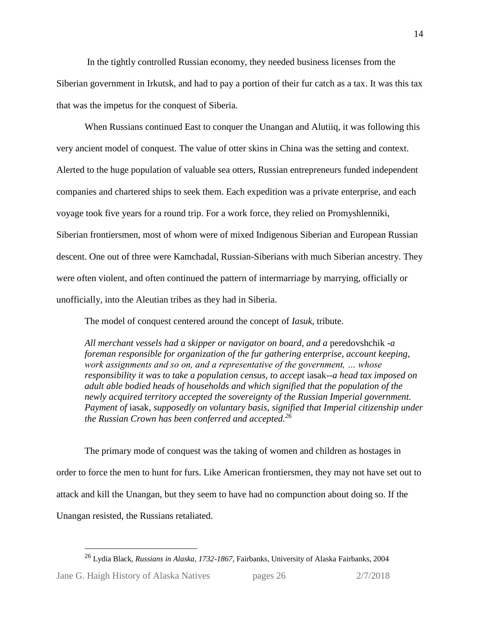In the tightly controlled Russian economy, they needed business licenses from the Siberian government in Irkutsk, and had to pay a portion of their fur catch as a tax. It was this tax that was the impetus for the conquest of Siberia.

When Russians continued East to conquer the Unangan and Alutiiq, it was following this very ancient model of conquest. The value of otter skins in China was the setting and context. Alerted to the huge population of valuable sea otters, Russian entrepreneurs funded independent companies and chartered ships to seek them. Each expedition was a private enterprise, and each voyage took five years for a round trip. For a work force, they relied on Promyshlenniki, Siberian frontiersmen, most of whom were of mixed Indigenous Siberian and European Russian descent. One out of three were Kamchadal, Russian-Siberians with much Siberian ancestry. They were often violent, and often continued the pattern of intermarriage by marrying, officially or unofficially, into the Aleutian tribes as they had in Siberia.

The model of conquest centered around the concept of *Iasuk*, tribute.

*All merchant vessels had a skipper or navigator on board, and a* peredovshchik *-a foreman responsible for organization of the fur gathering enterprise, account keeping, work assignments and so on, and a representative of the government, … whose responsibility it was to take a population census, to accept* iasak*--a head tax imposed on adult able bodied heads of households and which signified that the population of the newly acquired territory accepted the sovereignty of the Russian Imperial government. Payment of* iasak*, supposedly on voluntary basis, signified that Imperial citizenship under the Russian Crown has been conferred and accepted.<sup>26</sup>*

The primary mode of conquest was the taking of women and children as hostages in order to force the men to hunt for furs. Like American frontiersmen, they may not have set out to attack and kill the Unangan, but they seem to have had no compunction about doing so. If the Unangan resisted, the Russians retaliated.

<sup>26</sup> Lydia Black, *Russians in Alaska, 1732-1867,* Fairbanks, University of Alaska Fairbanks, 2004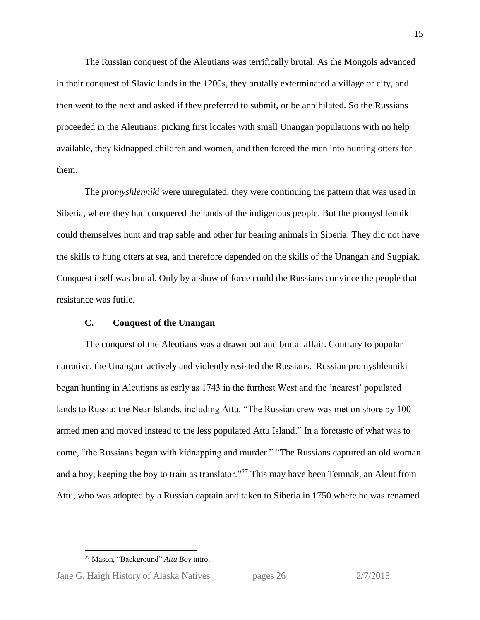The Russian conquest of the Aleutians was terrifically brutal. As the Mongols advanced in their conquest of Slavic lands in the 1200s, they brutally exterminated a village or city, and then went to the next and asked if they preferred to submit, or be annihilated. So the Russians proceeded in the Aleutians, picking first locales with small Unangan populations with no help available, they kidnapped children and women, and then forced the men into hunting otters for them.

The *promyshlenniki* were unregulated, they were continuing the pattern that was used in Siberia, where they had conquered the lands of the indigenous people. But the promyshlenniki could themselves hunt and trap sable and other fur bearing animals in Siberia. They did not have the skills to hung otters at sea, and therefore depended on the skills of the Unangan and Sugpiak. Conquest itself was brutal. Only by a show of force could the Russians convince the people that resistance was futile.

### **C. Conquest of the Unangan**

The conquest of the Aleutians was a drawn out and brutal affair. Contrary to popular narrative, the Unangan actively and violently resisted the Russians. Russian promyshlenniki began hunting in Aleutians as early as 1743 in the furthest West and the 'nearest' populated lands to Russia: the Near Islands, including Attu. "The Russian crew was met on shore by 100 armed men and moved instead to the less populated Attu Island." In a foretaste of what was to come, "the Russians began with kidnapping and murder." "The Russians captured an old woman and a boy, keeping the boy to train as translator."<sup>27</sup> This may have been Temnak, an Aleut from Attu, who was adopted by a Russian captain and taken to Siberia in 1750 where he was renamed

<sup>27</sup> Mason, "Background" *Attu Boy* intro.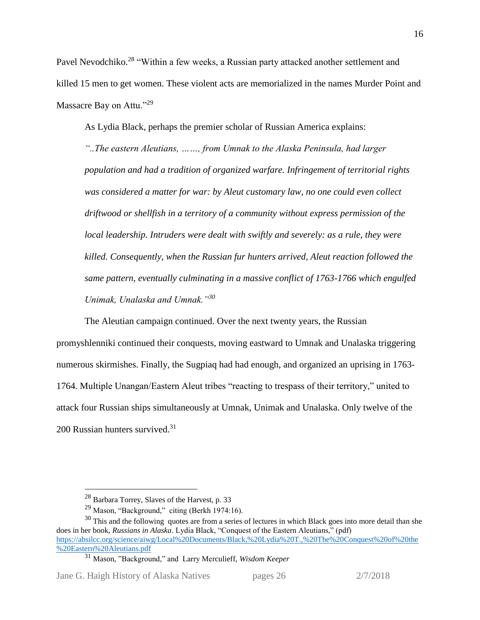Pavel Nevodchiko.<sup>28</sup> "Within a few weeks, a Russian party attacked another settlement and killed 15 men to get women. These violent acts are memorialized in the names Murder Point and Massacre Bay on Attu."<sup>29</sup>

As Lydia Black, perhaps the premier scholar of Russian America explains:

*"..The eastern Aleutians, ……, from Umnak to the Alaska Peninsula, had larger population and had a tradition of organized warfare. Infringement of territorial rights was considered a matter for war: by Aleut customary law, no one could even collect driftwood or shellfish in a territory of a community without express permission of the local leadership. Intruders were dealt with swiftly and severely: as a rule, they were killed. Consequently, when the Russian fur hunters arrived, Aleut reaction followed the same pattern, eventually culminating in a massive conflict of 1763-1766 which engulfed Unimak, Unalaska and Umnak."<sup>30</sup>*

The Aleutian campaign continued. Over the next twenty years, the Russian promyshlenniki continued their conquests, moving eastward to Umnak and Unalaska triggering numerous skirmishes. Finally, the Sugpiaq had had enough, and organized an uprising in 1763- 1764. Multiple Unangan/Eastern Aleut tribes "reacting to trespass of their territory," united to attack four Russian ships simultaneously at Umnak, Unimak and Unalaska. Only twelve of the 200 Russian hunters survived.<sup>31</sup>

Jane G. Haigh History of Alaska Natives pages 26 2/7/2018

<sup>&</sup>lt;sup>28</sup> Barbara Torrey, Slaves of the Harvest, p. 33

<sup>&</sup>lt;sup>29</sup> Mason, "Background," citing (Berkh 1974:16).

<sup>&</sup>lt;sup>30</sup> This and the following quotes are from a series of lectures in which Black goes into more detail than she does in her book, *Russians in Alaska*. Lydia Black, "Conquest of the Eastern Aleutians," (pdf) [https://absilcc.org/science/aiwg/Local%20Documents/Black,%20Lydia%20T.,%20The%20Conquest%20of%20the](https://absilcc.org/science/aiwg/Local%20Documents/Black,%20Lydia%20T.,%20The%20Conquest%20of%20the%20Eastern%20Aleutians.pdf) [%20Eastern%20Aleutians.pdf](https://absilcc.org/science/aiwg/Local%20Documents/Black,%20Lydia%20T.,%20The%20Conquest%20of%20the%20Eastern%20Aleutians.pdf) 

<sup>31</sup> Mason, "Background," and Larry Merculieff, *Wisdom Keeper*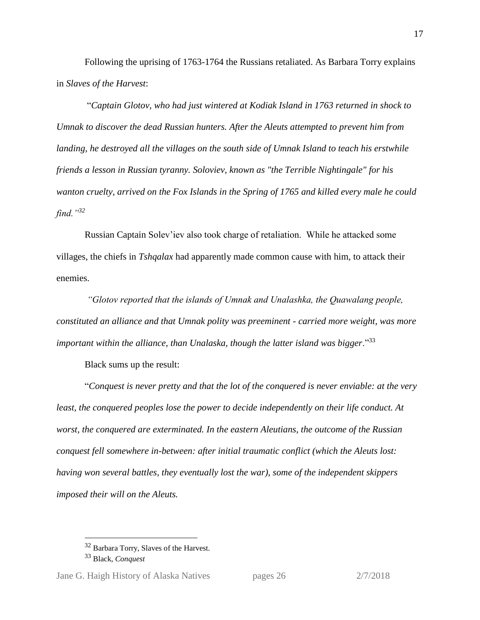Following the uprising of 1763-1764 the Russians retaliated. As Barbara Torry explains in *Slaves of the Harvest*:

"*Captain Glotov, who had just wintered at Kodiak Island in 1763 returned in shock to Umnak to discover the dead Russian hunters. After the Aleuts attempted to prevent him from landing, he destroyed all the villages on the south side of Umnak Island to teach his erstwhile friends a lesson in Russian tyranny. Soloviev, known as "the Terrible Nightingale" for his wanton cruelty, arrived on the Fox Islands in the Spring of 1765 and killed every male he could find."<sup>32</sup>*

Russian Captain Solev'iev also took charge of retaliation. While he attacked some villages, the chiefs in *Tshqalax* had apparently made common cause with him*,* to attack their enemies.

*"Glotov reported that the islands of Umnak and Unalashka, the Quawalang people, constituted an alliance and that Umnak polity was preeminent - carried more weight, was more important within the alliance, than Unalaska, though the latter island was bigger*."<sup>33</sup>

Black sums up the result:

"*Conquest is never pretty and that the lot of the conquered is never enviable: at the very least, the conquered peoples lose the power to decide independently on their life conduct. At worst, the conquered are exterminated. In the eastern Aleutians, the outcome of the Russian conquest fell somewhere in-between: after initial traumatic conflict (which the Aleuts lost: having won several battles, they eventually lost the war), some of the independent skippers imposed their will on the Aleuts.* 

<sup>&</sup>lt;sup>32</sup> Barbara Torry, Slaves of the Harvest.

<sup>33</sup> Black, *Conquest*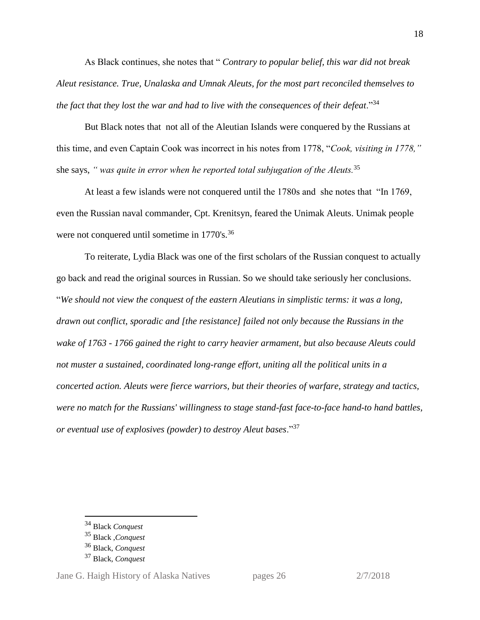As Black continues, she notes that " *Contrary to popular belief, this war did not break Aleut resistance. True, Unalaska and Umnak Aleuts, for the most part reconciled themselves to the fact that they lost the war and had to live with the consequences of their defeat.*"<sup>34</sup>

But Black notes that not all of the Aleutian Islands were conquered by the Russians at this time, and even Captain Cook was incorrect in his notes from 1778, "*Cook, visiting in 1778,"*  she says, *" was quite in error when he reported total subjugation of the Aleuts.*<sup>35</sup>

At least a few islands were not conquered until the 1780s and she notes that "In 1769, even the Russian naval commander, Cpt. Krenitsyn, feared the Unimak Aleuts. Unimak people were not conquered until sometime in 1770's.<sup>36</sup>

To reiterate, Lydia Black was one of the first scholars of the Russian conquest to actually go back and read the original sources in Russian. So we should take seriously her conclusions. "*We should not view the conquest of the eastern Aleutians in simplistic terms: it was a long, drawn out conflict, sporadic and [the resistance] failed not only because the Russians in the wake of 1763 - 1766 gained the right to carry heavier armament, but also because Aleuts could not muster a sustained, coordinated long-range effort, uniting all the political units in a concerted action. Aleuts were fierce warriors, but their theories of warfare, strategy and tactics, were no match for the Russians' willingness to stage stand-fast face-to-face hand-to hand battles, or eventual use of explosives (powder) to destroy Aleut bases*."<sup>37</sup>

 $\overline{a}$ 

Jane G. Haigh History of Alaska Natives pages 26 2/7/2018

<sup>34</sup> Black *Conquest*

<sup>35</sup> Black ,*Conquest*

<sup>36</sup> Black, *Conquest*

<sup>37</sup> Black, *Conquest*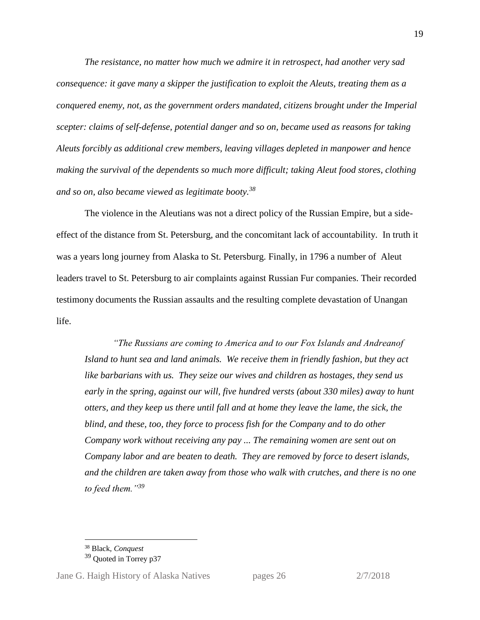*The resistance, no matter how much we admire it in retrospect, had another very sad consequence: it gave many a skipper the justification to exploit the Aleuts, treating them as a conquered enemy, not, as the government orders mandated, citizens brought under the Imperial scepter: claims of self-defense, potential danger and so on, became used as reasons for taking Aleuts forcibly as additional crew members, leaving villages depleted in manpower and hence making the survival of the dependents so much more difficult; taking Aleut food stores, clothing and so on, also became viewed as legitimate booty. 38*

The violence in the Aleutians was not a direct policy of the Russian Empire, but a sideeffect of the distance from St. Petersburg, and the concomitant lack of accountability. In truth it was a years long journey from Alaska to St. Petersburg. Finally, in 1796 a number of Aleut leaders travel to St. Petersburg to air complaints against Russian Fur companies. Their recorded testimony documents the Russian assaults and the resulting complete devastation of Unangan life.

*"The Russians are coming to America and to our Fox Islands and Andreanof Island to hunt sea and land animals. We receive them in friendly fashion, but they act like barbarians with us. They seize our wives and children as hostages, they send us early in the spring, against our will, five hundred versts (about 330 miles) away to hunt otters, and they keep us there until fall and at home they leave the lame, the sick, the blind, and these, too, they force to process fish for the Company and to do other Company work without receiving any pay ... The remaining women are sent out on Company labor and are beaten to death. They are removed by force to desert islands, and the children are taken away from those who walk with crutches, and there is no one to feed them."<sup>39</sup>*

<sup>38</sup> Black, *Conquest*

<sup>&</sup>lt;sup>39</sup> Quoted in Torrey p37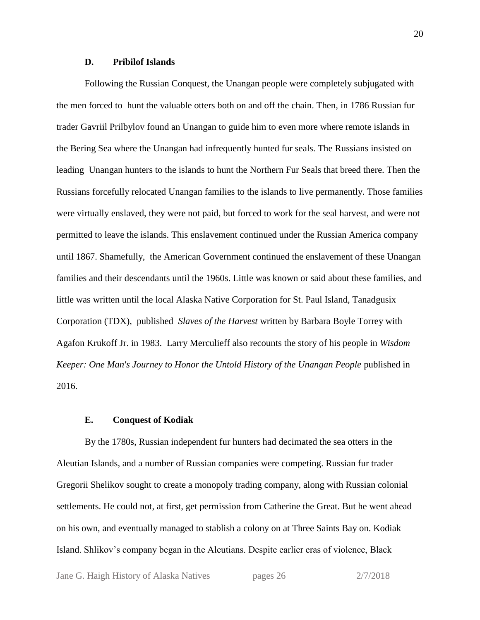#### **D. Pribilof Islands**

Following the Russian Conquest, the Unangan people were completely subjugated with the men forced to hunt the valuable otters both on and off the chain. Then, in 1786 Russian fur trader Gavriil Prilbylov found an Unangan to guide him to even more where remote islands in the Bering Sea where the Unangan had infrequently hunted fur seals. The Russians insisted on leading Unangan hunters to the islands to hunt the Northern Fur Seals that breed there. Then the Russians forcefully relocated Unangan families to the islands to live permanently. Those families were virtually enslaved, they were not paid, but forced to work for the seal harvest, and were not permitted to leave the islands. This enslavement continued under the Russian America company until 1867. Shamefully, the American Government continued the enslavement of these Unangan families and their descendants until the 1960s. Little was known or said about these families, and little was written until the local Alaska Native Corporation for St. Paul Island, Tanadgusix Corporation (TDX), published *Slaves of the Harvest* written by Barbara Boyle Torrey with Agafon Krukoff Jr. in 1983. Larry Merculieff also recounts the story of his people in *Wisdom Keeper: One Man's Journey to Honor the Untold History of the Unangan People* published in 2016.

#### **E. Conquest of Kodiak**

By the 1780s, Russian independent fur hunters had decimated the sea otters in the Aleutian Islands, and a number of Russian companies were competing. Russian fur trader Gregorii Shelikov sought to create a monopoly trading company, along with Russian colonial settlements. He could not, at first, get permission from Catherine the Great. But he went ahead on his own, and eventually managed to stablish a colony on at Three Saints Bay on. Kodiak Island. Shlikov's company began in the Aleutians. Despite earlier eras of violence, Black

Jane G. Haigh History of Alaska Natives pages 26 2/7/2018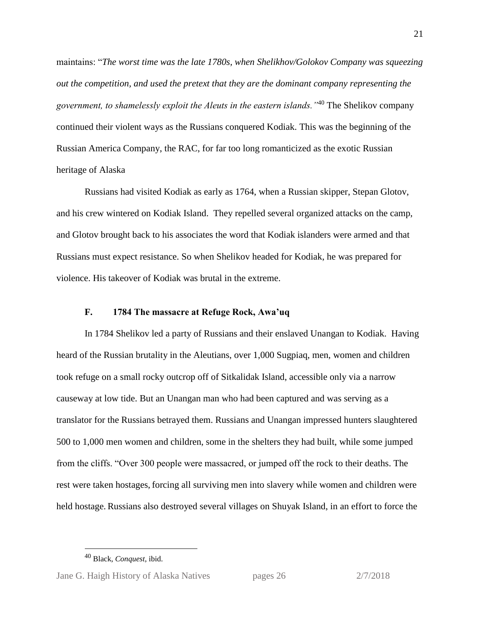maintains: "*The worst time was the late 1780s, when Shelikhov/Golokov Company was squeezing out the competition, and used the pretext that they are the dominant company representing the government, to shamelessly exploit the Aleuts in the eastern islands."*<sup>40</sup> The Shelikov company continued their violent ways as the Russians conquered Kodiak. This was the beginning of the Russian America Company, the RAC, for far too long romanticized as the exotic Russian heritage of Alaska

Russians had visited Kodiak as early as 1764, when a Russian skipper, Stepan Glotov, and his crew wintered on Kodiak Island. They repelled several organized attacks on the camp, and Glotov brought back to his associates the word that Kodiak islanders were armed and that Russians must expect resistance. So when Shelikov headed for Kodiak, he was prepared for violence. His takeover of Kodiak was brutal in the extreme.

#### **F. 1784 The massacre at Refuge Rock, Awa'uq**

In 1784 Shelikov led a party of Russians and their enslaved Unangan to Kodiak. Having heard of the Russian brutality in the Aleutians, over 1,000 Sugpiaq, men, women and children took refuge on a small rocky outcrop off of Sitkalidak Island, accessible only via a narrow causeway at low tide. But an Unangan man who had been captured and was serving as a translator for the Russians betrayed them. Russians and Unangan impressed hunters slaughtered 500 to 1,000 men women and children, some in the shelters they had built, while some jumped from the cliffs. "Over 300 people were massacred, or jumped off the rock to their deaths. The rest were taken hostages, forcing all surviving men into slavery while women and children were held hostage. Russians also destroyed several villages on Shuyak Island, in an effort to force the

<sup>40</sup> Black, *Conquest*, ibid.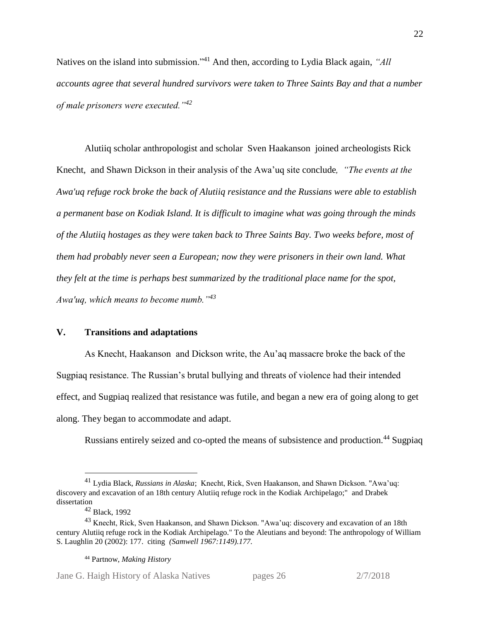Natives on the island into submission."<sup>41</sup> And then, according to Lydia Black again, *"All accounts agree that several hundred survivors were taken to Three Saints Bay and that a number of male prisoners were executed."<sup>42</sup>*

Alutiiq scholar anthropologist and scholar Sven Haakanson joined archeologists Rick Knecht, and Shawn Dickson in their analysis of the Awa'uq site conclude*, "The events at the Awa'uq refuge rock broke the back of Alutiiq resistance and the Russians were able to establish a permanent base on Kodiak Island. It is difficult to imagine what was going through the minds of the Alutiiq hostages as they were taken back to Three Saints Bay. Two weeks before, most of them had probably never seen a European; now they were prisoners in their own land. What they felt at the time is perhaps best summarized by the traditional place name for the spot, Awa'uq, which means to become numb."<sup>43</sup>*

#### **V. Transitions and adaptations**

As Knecht, Haakanson and Dickson write, the Au'aq massacre broke the back of the Sugpiaq resistance. The Russian's brutal bullying and threats of violence had their intended effect, and Sugpiaq realized that resistance was futile, and began a new era of going along to get along. They began to accommodate and adapt.

Russians entirely seized and co-opted the means of subsistence and production.<sup>44</sup> Sugpiaq

 $\overline{a}$ 

Jane G. Haigh History of Alaska Natives pages 26 2/7/2018

<sup>41</sup> Lydia Black, *Russians in Alaska*; Knecht, Rick, Sven Haakanson, and Shawn Dickson. "Awa'uq: discovery and excavation of an 18th century Alutiiq refuge rock in the Kodiak Archipelago;" and Drabek dissertation

<sup>42</sup> Black, 1992

<sup>43</sup> Knecht, Rick, Sven Haakanson, and Shawn Dickson. "Awa'uq: discovery and excavation of an 18th century Alutiiq refuge rock in the Kodiak Archipelago." To the Aleutians and beyond: The anthropology of William S. Laughlin 20 (2002): 177. citing *(Samwell 1967:1149).177.*

<sup>44</sup> Partnow, *Making History*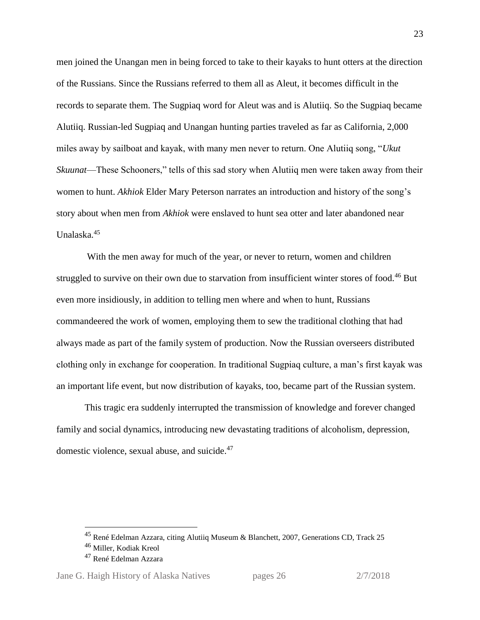men joined the Unangan men in being forced to take to their kayaks to hunt otters at the direction of the Russians. Since the Russians referred to them all as Aleut, it becomes difficult in the records to separate them. The Sugpiaq word for Aleut was and is Alutiiq. So the Sugpiaq became Alutiiq. Russian-led Sugpiaq and Unangan hunting parties traveled as far as California, 2,000 miles away by sailboat and kayak, with many men never to return. One Alutiiq song, "*Ukut Skuunat*—These Schooners," tells of this sad story when Alutiiq men were taken away from their women to hunt. *Akhiok* Elder Mary Peterson narrates an introduction and history of the song's story about when men from *Akhiok* were enslaved to hunt sea otter and later abandoned near Unalaska.<sup>45</sup>

With the men away for much of the year, or never to return, women and children struggled to survive on their own due to starvation from insufficient winter stores of food.<sup>46</sup> But even more insidiously, in addition to telling men where and when to hunt, Russians commandeered the work of women, employing them to sew the traditional clothing that had always made as part of the family system of production. Now the Russian overseers distributed clothing only in exchange for cooperation. In traditional Sugpiaq culture, a man's first kayak was an important life event, but now distribution of kayaks, too, became part of the Russian system.

This tragic era suddenly interrupted the transmission of knowledge and forever changed family and social dynamics, introducing new devastating traditions of alcoholism, depression, domestic violence, sexual abuse, and suicide.<sup>47</sup>

<sup>&</sup>lt;sup>45</sup> René Edelman Azzara, citing Alutiiq Museum & Blanchett, 2007, Generations CD, Track 25

<sup>46</sup> Miller, Kodiak Kreol

<sup>47</sup> René Edelman Azzara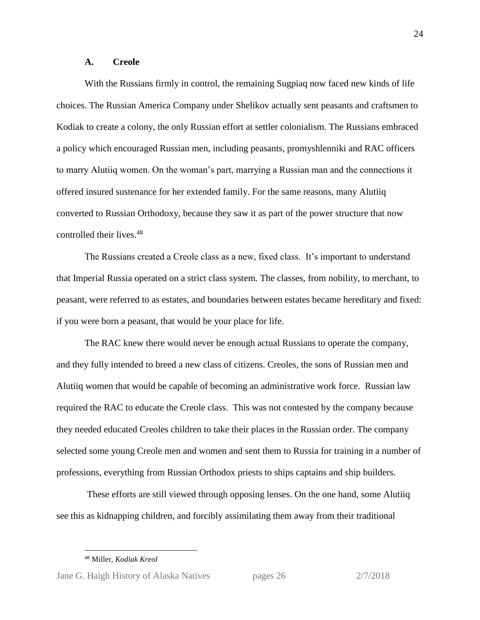#### **A. Creole**

With the Russians firmly in control, the remaining Sugpiaq now faced new kinds of life choices. The Russian America Company under Shelikov actually sent peasants and craftsmen to Kodiak to create a colony, the only Russian effort at settler colonialism. The Russians embraced a policy which encouraged Russian men, including peasants, promyshlenniki and RAC officers to marry Alutiiq women. On the woman's part, marrying a Russian man and the connections it offered insured sustenance for her extended family. For the same reasons, many Alutiiq converted to Russian Orthodoxy, because they saw it as part of the power structure that now controlled their lives.<sup>48</sup>

The Russians created a Creole class as a new, fixed class. It's important to understand that Imperial Russia operated on a strict class system. The classes, from nobility, to merchant, to peasant, were referred to as estates, and boundaries between estates became hereditary and fixed: if you were born a peasant, that would be your place for life.

The RAC knew there would never be enough actual Russians to operate the company, and they fully intended to breed a new class of citizens. Creoles, the sons of Russian men and Alutiiq women that would be capable of becoming an administrative work force. Russian law required the RAC to educate the Creole class. This was not contested by the company because they needed educated Creoles children to take their places in the Russian order. The company selected some young Creole men and women and sent them to Russia for training in a number of professions, everything from Russian Orthodox priests to ships captains and ship builders.

These efforts are still viewed through opposing lenses. On the one hand, some Alutiiq see this as kidnapping children, and forcibly assimilating them away from their traditional

<sup>48</sup> Miller, *Kodiak Kreol*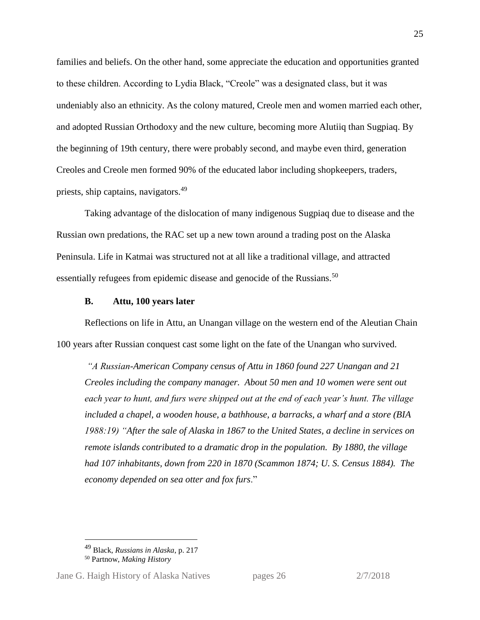families and beliefs. On the other hand, some appreciate the education and opportunities granted to these children. According to Lydia Black, "Creole" was a designated class, but it was undeniably also an ethnicity. As the colony matured, Creole men and women married each other, and adopted Russian Orthodoxy and the new culture, becoming more Alutiiq than Sugpiaq. By the beginning of 19th century, there were probably second, and maybe even third, generation Creoles and Creole men formed 90% of the educated labor including shopkeepers, traders, priests, ship captains, navigators.<sup>49</sup>

Taking advantage of the dislocation of many indigenous Sugpiaq due to disease and the Russian own predations, the RAC set up a new town around a trading post on the Alaska Peninsula. Life in Katmai was structured not at all like a traditional village, and attracted essentially refugees from epidemic disease and genocide of the Russians.<sup>50</sup>

#### **B. Attu, 100 years later**

Reflections on life in Attu, an Unangan village on the western end of the Aleutian Chain 100 years after Russian conquest cast some light on the fate of the Unangan who survived.

*"A Russian-American Company census of Attu in 1860 found 227 Unangan and 21 Creoles including the company manager. About 50 men and 10 women were sent out each year to hunt, and furs were shipped out at the end of each year's hunt. The village included a chapel, a wooden house, a bathhouse, a barracks, a wharf and a store (BIA 1988:19) "After the sale of Alaska in 1867 to the United States, a decline in services on remote islands contributed to a dramatic drop in the population. By 1880, the village had 107 inhabitants, down from 220 in 1870 (Scammon 1874; U. S. Census 1884). The economy depended on sea otter and fox furs*."

<sup>49</sup> Black, *Russians in Alaska*, p. 217

<sup>50</sup> Partnow, *Making History*